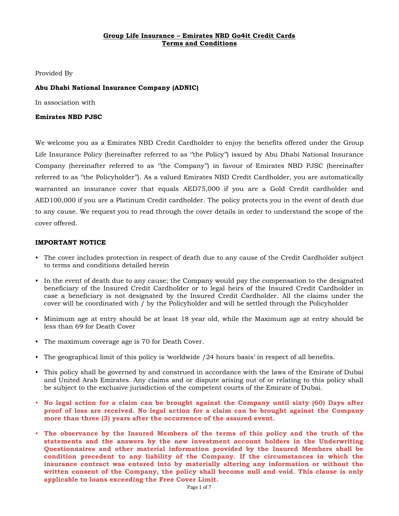# **Group Life Insurance – Emirates NBD Go4it Credit Cards Terms and Conditions**

Provided By

# **Abu Dhabi National Insurance Company (ADNIC)**

In association with

## **Emirates NBD PJSC**

We welcome you as a Emirates NBD Credit Cardholder to enjoy the benefits offered under the Group Life Insurance Policy (hereinafter referred to as "the Policy") issued by Abu Dhabi National Insurance Company (hereinafter referred to as ''the Company'') in favour of Emirates NBD PJSC (hereinafter referred to as ''the Policyholder''). As a valued Emirates NBD Credit Cardholder, you are automatically warranted an insurance cover that equals AED75,000 if you are a Gold Credit cardholder and AED100,000 if you are a Platinum Credit cardholder. The policy protects you in the event of death due to any cause. We request you to read through the cover details in order to understand the scope of the cover offered.

### **IMPORTANT NOTICE**

- The cover includes protection in respect of death due to any cause of the Credit Cardholder subject to terms and conditions detailed herein
- In the event of death due to any cause; the Company would pay the compensation to the designated beneficiary of the Insured Credit Cardholder or to legal heirs of the Insured Credit Cardholder in case a beneficiary is not designated by the Insured Credit Cardholder. All the claims under the cover will be coordinated with / by the Policyholder and will be settled through the Policyholder
- Minimum age at entry should be at least 18 year old, while the Maximum age at entry should be less than 69 for Death Cover
- The maximum coverage age is 70 for Death Cover.
- The geographical limit of this policy is 'worldwide /24 hours basis' in respect of all benefits.
- This policy shall be governed by and construed in accordance with the laws of the Emirate of Dubai and United Arab Emirates. Any claims and or dispute arising out of or relating to this policy shall be subject to the exclusive jurisdiction of the competent courts of the Emirate of Dubai.
- **No legal action for a claim can be brought against the Company until sixty (60) Days after proof of loss are received. No legal action for a claim can be brought against the Company more than three (3) years after the occurrence of the assured event.**
- **The observance by the Insured Members of the terms of this policy and the truth of the statements and the answers by the new investment account holders in the Underwriting Questionnaires and other material information provided by the Insured Members shall be condition precedent to any liability of the Company. If the circumstances in which the insurance contract was entered into by materially altering any information or without the written consent of the Company, the policy shall become null and void. This clause is only applicable to loans exceeding the Free Cover Limit.**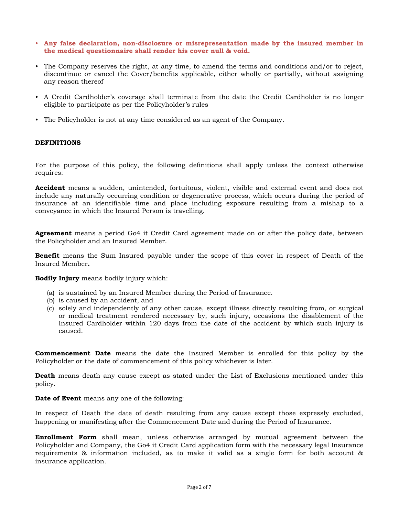- **Any false declaration, non-disclosure or misrepresentation made by the insured member in the medical questionnaire shall render his cover null & void.**
- The Company reserves the right, at any time, to amend the terms and conditions and/or to reject, discontinue or cancel the Cover/benefits applicable, either wholly or partially, without assigning any reason thereof
- A Credit Cardholder's coverage shall terminate from the date the Credit Cardholder is no longer eligible to participate as per the Policyholder's rules
- The Policyholder is not at any time considered as an agent of the Company.

# **DEFINITIONS**

For the purpose of this policy, the following definitions shall apply unless the context otherwise requires:

**Accident** means a sudden, unintended, fortuitous, violent, visible and external event and does not include any naturally occurring condition or degenerative process, which occurs during the period of insurance at an identifiable time and place including exposure resulting from a mishap to a conveyance in which the Insured Person is travelling.

**Agreement** means a period Go4 it Credit Card agreement made on or after the policy date, between the Policyholder and an Insured Member.

**Benefit** means the Sum Insured payable under the scope of this cover in respect of Death of the Insured Member**.**

**Bodily Injury** means bodily injury which:

- (a) is sustained by an Insured Member during the Period of Insurance.
- (b) is caused by an accident, and
- (c) solely and independently of any other cause, except illness directly resulting from, or surgical or medical treatment rendered necessary by, such injury, occasions the disablement of the Insured Cardholder within 120 days from the date of the accident by which such injury is caused.

**Commencement Date** means the date the Insured Member is enrolled for this policy by the Policyholder or the date of commencement of this policy whichever is later.

**Death** means death any cause except as stated under the List of Exclusions mentioned under this policy.

**Date of Event** means any one of the following:

In respect of Death the date of death resulting from any cause except those expressly excluded, happening or manifesting after the Commencement Date and during the Period of Insurance.

**Enrollment Form** shall mean, unless otherwise arranged by mutual agreement between the Policyholder and Company, the Go4 it Credit Card application form with the necessary legal Insurance requirements & information included, as to make it valid as a single form for both account & insurance application.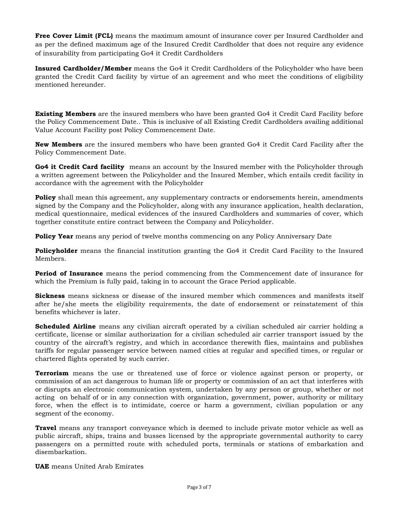**Free Cover Limit (FCL)** means the maximum amount of insurance cover per Insured Cardholder and as per the defined maximum age of the Insured Credit Cardholder that does not require any evidence of insurability from participating Go4 it Credit Cardholders

**Insured Cardholder/Member** means the Go4 it Credit Cardholders of the Policyholder who have been granted the Credit Card facility by virtue of an agreement and who meet the conditions of eligibility mentioned hereunder.

**Existing Members** are the insured members who have been granted Go4 it Credit Card Facility before the Policy Commencement Date.. This is inclusive of all Existing Credit Cardholders availing additional Value Account Facility post Policy Commencement Date.

**New Members** are the insured members who have been granted Go4 it Credit Card Facility after the Policy Commencement Date.

**Go4 it Credit Card facility** means an account by the Insured member with the Policyholder through a written agreement between the Policyholder and the Insured Member, which entails credit facility in accordance with the agreement with the Policyholder

**Policy** shall mean this agreement, any supplementary contracts or endorsements herein, amendments signed by the Company and the Policyholder, along with any insurance application, health declaration, medical questionnaire, medical evidences of the insured Cardholders and summaries of cover, which together constitute entire contract between the Company and Policyholder.

**Policy Year** means any period of twelve months commencing on any Policy Anniversary Date

**Policyholder** means the financial institution granting the Go4 it Credit Card Facility to the Insured Members.

**Period of Insurance** means the period commencing from the Commencement date of insurance for which the Premium is fully paid, taking in to account the Grace Period applicable.

**Sickness** means sickness or disease of the insured member which commences and manifests itself after he/she meets the eligibility requirements, the date of endorsement or reinstatement of this benefits whichever is later.

**Scheduled Airline** means any civilian aircraft operated by a civilian scheduled air carrier holding a certificate, license or similar authorization for a civilian scheduled air carrier transport issued by the country of the aircraft's registry, and which in accordance therewith flies, maintains and publishes tariffs for regular passenger service between named cities at regular and specified times, or regular or chartered flights operated by such carrier.

**Terrorism** means the use or threatened use of force or violence against person or property, or commission of an act dangerous to human life or property or commission of an act that interferes with or disrupts an electronic communication system, undertaken by any person or group, whether or not acting on behalf of or in any connection with organization, government, power, authority or military force, when the effect is to intimidate, coerce or harm a government, civilian population or any segment of the economy.

**Travel** means any transport conveyance which is deemed to include private motor vehicle as well as public aircraft, ships, trains and busses licensed by the appropriate governmental authority to carry passengers on a permitted route with scheduled ports, terminals or stations of embarkation and disembarkation.

**UAE** means United Arab Emirates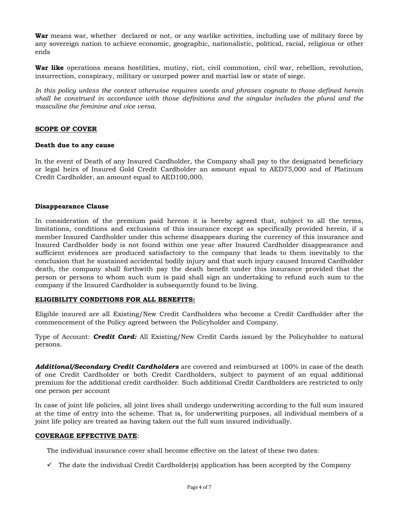**War** means war, whether declared or not, or any warlike activities, including use of military force by any sovereign nation to achieve economic, geographic, nationalistic, political, racial, religious or other ends

**War like** operations means hostilities, mutiny, riot, civil commotion, civil war, rebellion, revolution, insurrection, conspiracy, military or usurped power and martial law or state of siege.

*In this policy unless the context otherwise requires words and phrases cognate to those defined herein shall be construed in accordance with those definitions and the singular includes the plural and the masculine the feminine and vice versa.*

## **SCOPE OF COVER**

### **Death due to any cause**

In the event of Death of any Insured Cardholder, the Company shall pay to the designated beneficiary or legal heirs of Insured Gold Credit Cardholder an amount equal to AED75,000 and of Platinum Credit Cardholder, an amount equal to AED100,000.

### **Disappearance Clause**

In consideration of the premium paid hereon it is hereby agreed that, subject to all the terms, limitations, conditions and exclusions of this insurance except as specifically provided herein, if a member Insured Cardholder under this scheme disappears during the currency of this insurance and Insured Cardholder body is not found within one year after Insured Cardholder disappearance and sufficient evidences are produced satisfactory to the company that leads to them inevitably to the conclusion that he sustained accidental bodily injury and that such injury caused Insured Cardholder death, the company shall forthwith pay the death benefit under this insurance provided that the person or persons to whom such sum is paid shall sign an undertaking to refund such sum to the company if the Insured Cardholder is subsequently found to be living.

## **ELIGIBILITY CONDITIONS FOR ALL BENEFITS:**

Eligible insured are all Existing/New Credit Cardholders who become a Credit Cardholder after the commencement of the Policy agreed between the Policyholder and Company.

Type of Account: *Credit Card:* All Existing/New Credit Cards issued by the Policyholder to natural persons.

*Additional/Secondary Credit Cardholders* are covered and reimbursed at 100% in case of the death of one Credit Cardholder or both Credit Cardholders, subject to payment of an equal additional premium for the additional credit cardholder. Such additional Credit Cardholders are restricted to only one person per account

In case of joint life policies, all joint lives shall undergo underwriting according to the full sum insured at the time of entry into the scheme. That is, for underwriting purposes, all individual members of a joint life policy are treated as having taken out the full sum insured individually.

#### **COVERAGE EFFECTIVE DATE**:

The individual insurance cover shall become effective on the latest of these two dates:

 $\checkmark$  The date the individual Credit Cardholder(s) application has been accepted by the Company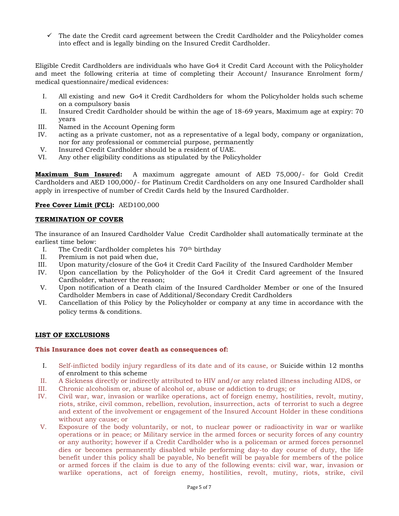$\checkmark$  The date the Credit card agreement between the Credit Cardholder and the Policyholder comes into effect and is legally binding on the Insured Credit Cardholder.

Eligible Credit Cardholders are individuals who have Go4 it Credit Card Account with the Policyholder and meet the following criteria at time of completing their Account/ Insurance Enrolment form/ medical questionnaire/medical evidences:

- I. All existing and new Go4 it Credit Cardholders for whom the Policyholder holds such scheme on a compulsory basis
- II. Insured Credit Cardholder should be within the age of 18-69 years, Maximum age at expiry: 70 years
- III. Named in the Account Opening form
- IV. acting as a private customer, not as a representative of a legal body, company or organization, nor for any professional or commercial purpose, permanently
- V. Insured Credit Cardholder should be a resident of UAE.
- VI. Any other eligibility conditions as stipulated by the Policyholder

**Maximum Sum Insured:** A maximum aggregate amount of AED 75,000/- for Gold Credit Cardholders and AED 100,000/- for Platinum Credit Cardholders on any one Insured Cardholder shall apply in irrespective of number of Credit Cards held by the Insured Cardholder.

# **Free Cover Limit (FCL):** AED100,000

## **TERMINATION OF COVER**

The insurance of an Insured Cardholder Value Credit Cardholder shall automatically terminate at the earliest time below:

- I. The Credit Cardholder completes his 70th birthday
- II. Premium is not paid when due,
- III. Upon maturity/closure of the Go4 it Credit Card Facility of the Insured Cardholder Member
- IV. Upon cancellation by the Policyholder of the Go4 it Credit Card agreement of the Insured Cardholder, whatever the reason;
- V. Upon notification of a Death claim of the Insured Cardholder Member or one of the Insured Cardholder Members in case of Additional/Secondary Credit Cardholders
- VI. Cancellation of this Policy by the Policyholder or company at any time in accordance with the policy terms & conditions.

## **LIST OF EXCLUSIONS**

## **This Insurance does not cover death as consequences of:**

- I. Self-inflicted bodily injury regardless of its date and of its cause, or Suicide within 12 months of enrolment to this scheme
- II. A Sickness directly or indirectly attributed to HIV and/or any related illness including AIDS, or
- III. Chronic alcoholism or, abuse of alcohol or, abuse or addiction to drugs; or
- IV. Civil war, war, invasion or warlike operations, act of foreign enemy, hostilities, revolt, mutiny, riots, strike, civil common, rebellion, revolution, insurrection, acts of terrorist to such a degree and extent of the involvement or engagement of the Insured Account Holder in these conditions without any cause; or
- V. Exposure of the body voluntarily, or not, to nuclear power or radioactivity in war or warlike operations or in peace; or Military service in the armed forces or security forces of any country or any authority; however if a Credit Cardholder who is a policeman or armed forces personnel dies or becomes permanently disabled while performing day-to day course of duty, the life benefit under this policy shall be payable, No benefit will be payable for members of the police or armed forces if the claim is due to any of the following events: civil war, war, invasion or warlike operations, act of foreign enemy, hostilities, revolt, mutiny, riots, strike, civil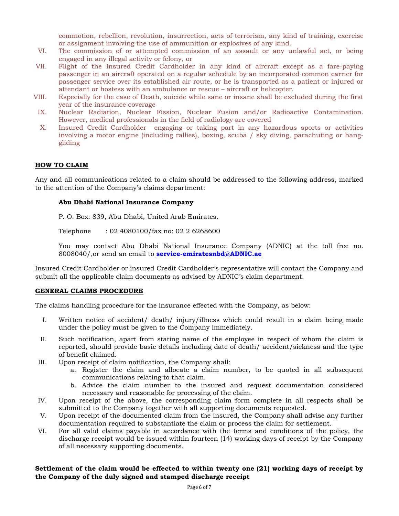commotion, rebellion, revolution, insurrection, acts of terrorism, any kind of training, exercise or assignment involving the use of ammunition or explosives of any kind.

- VI. The commission of or attempted commission of an assault or any unlawful act, or being engaged in any illegal activity or felony, or
- VII. Flight of the Insured Credit Cardholder in any kind of aircraft except as a fare-paying passenger in an aircraft operated on a regular schedule by an incorporated common carrier for passenger service over its established air route, or he is transported as a patient or injured or attendant or hostess with an ambulance or rescue – aircraft or helicopter.
- VIII. Especially for the case of Death, suicide while sane or insane shall be excluded during the first year of the insurance coverage
- IX. Nuclear Radiation, Nuclear Fission, Nuclear Fusion and/or Radioactive Contamination. However, medical professionals in the field of radiology are covered
- X. Insured Credit Cardholder engaging or taking part in any hazardous sports or activities involving a motor engine (including rallies), boxing, scuba / sky diving, parachuting or hanggliding

# **HOW TO CLAIM**

Any and all communications related to a claim should be addressed to the following address, marked to the attention of the Company's claims department:

### **Abu Dhabi National Insurance Company**

P. O. Box: 839, Abu Dhabi, United Arab Emirates.

Telephone : 02 4080100/fax no: 02 2 6268600

You may contact Abu Dhabi National Insurance Company (ADNIC) at the toll free no. 8008040/,or send an email to **[service-emiratesnbd@ADNIC.ae](mailto:service-emiratesnbd@ADNIC.ae)**

Insured Credit Cardholder or insured Credit Cardholder's representative will contact the Company and submit all the applicable claim documents as advised by ADNIC's claim department.

#### **GENERAL CLAIMS PROCEDURE**

The claims handling procedure for the insurance effected with the Company, as below:

- I. Written notice of accident/ death/ injury/illness which could result in a claim being made under the policy must be given to the Company immediately.
- II. Such notification, apart from stating name of the employee in respect of whom the claim is reported, should provide basic details including date of death/ accident/sickness and the type of benefit claimed.
- III. Upon receipt of claim notification, the Company shall:
	- a. Register the claim and allocate a claim number, to be quoted in all subsequent communications relating to that claim.
	- b. Advice the claim number to the insured and request documentation considered necessary and reasonable for processing of the claim.
- IV. Upon receipt of the above, the corresponding claim form complete in all respects shall be submitted to the Company together with all supporting documents requested.
- V. Upon receipt of the documented claim from the insured, the Company shall advise any further documentation required to substantiate the claim or process the claim for settlement.
- VI. For all valid claims payable in accordance with the terms and conditions of the policy, the discharge receipt would be issued within fourteen (14) working days of receipt by the Company of all necessary supporting documents.

# **Settlement of the claim would be effected to within twenty one (21) working days of receipt by the Company of the duly signed and stamped discharge receipt**